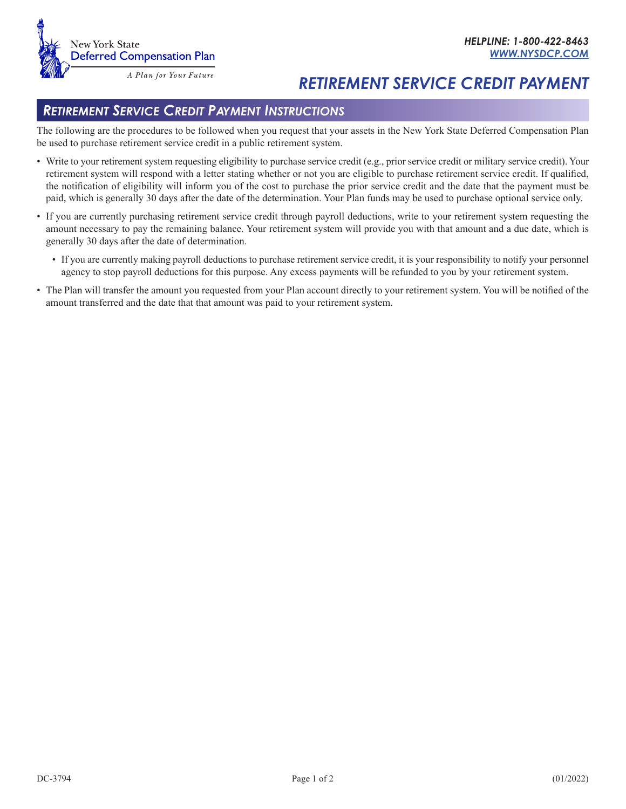## *RETIREMENT SERVICE CREDIT PAYMENT*

## *Retirement Service Credit Payment Instructions*

The following are the procedures to be followed when you request that your assets in the New York State Deferred Compensation Plan be used to purchase retirement service credit in a public retirement system.

- Write to your retirement system requesting eligibility to purchase service credit (e.g., prior service credit or military service credit). Your retirement system will respond with a letter stating whether or not you are eligible to purchase retirement service credit. If qualified, the notification of eligibility will inform you of the cost to purchase the prior service credit and the date that the payment must be paid, which is generally 30 days after the date of the determination. Your Plan funds may be used to purchase optional service only.
- If you are currently purchasing retirement service credit through payroll deductions, write to your retirement system requesting the amount necessary to pay the remaining balance. Your retirement system will provide you with that amount and a due date, which is generally 30 days after the date of determination.
	- If you are currently making payroll deductions to purchase retirement service credit, it is your responsibility to notify your personnel agency to stop payroll deductions for this purpose. Any excess payments will be refunded to you by your retirement system.
- The Plan will transfer the amount you requested from your Plan account directly to your retirement system. You will be notified of the amount transferred and the date that that amount was paid to your retirement system.